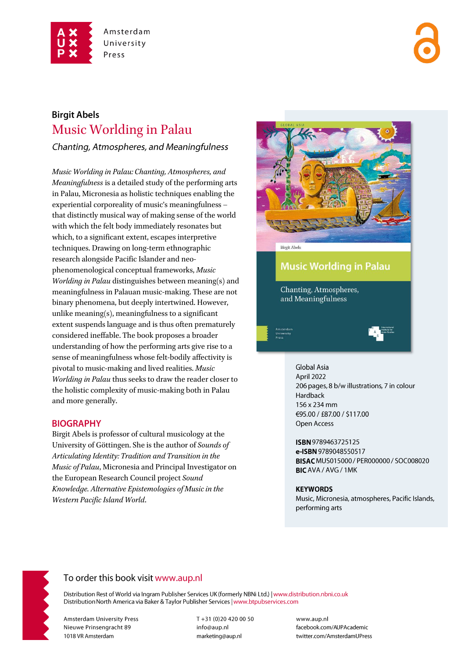

# **Birgit Abels Music Worlding in Palau**

Chanting, Atmospheres, and Meaningfulness

Music Worlding in Palau: Chanting, Atmospheres, and Meaningfulness is a detailed study of the performing arts in Palau, Micronesia as holistic techniques enabling the experiential corporeality of music's meaningfulness that distinctly musical way of making sense of the world with which the felt body immediately resonates but which, to a significant extent, escapes interpretive techniques. Drawing on long-term ethnographic research alongside Pacific Islander and neophenomenological conceptual frameworks, Music Worlding in Palau distinguishes between meaning(s) and meaningfulness in Palauan music-making. These are not binary phenomena, but deeply intertwined. However, unlike meaning(s), meaningfulness to a significant extent suspends language and is thus often prematurely considered ineffable. The book proposes a broader understanding of how the performing arts give rise to a sense of meaningfulness whose felt-bodily affectivity is pivotal to music-making and lived realities. Music Worlding in Palau thus seeks to draw the reader closer to the holistic complexity of music-making both in Palau and more generally.

## **BIOGRAPHY**

Birgit Abels is professor of cultural musicology at the University of Göttingen. She is the author of Sounds of Articulating Identity: Tradition and Transition in the Music of Palau, Micronesia and Principal Investigator on the European Research Council project Sound Knowledge. Alternative Epistemologies of Music in the Western Pacific Island World.



**Music Worlding in Palau** 

Chanting, Atmospheres, and Meaningfulness

> **Global Asia** April 2022 206 pages, 8 b/w illustrations, 7 in colour Hardback 156 x 234 mm €95.00 / £87.00 / \$117.00 Open Access

ISBN 9789463725125 e-ISBN 9789048550517 **BISAC MUS015000 / PER000000 / SOC008020** BIC AVA / AVG / 1MK

#### **KEYWORDS**

Music, Micronesia, atmospheres, Pacific Islands, performing arts



# To order this book visit www.aup.nl

Distribution Rest of World via Ingram Publisher Services UK (formerly NBNi Ltd.) | www.distribution.nbni.co.uk Distribution North America via Baker & Taylor Publisher Services | www.btpubservices.com

**Amsterdam University Press** Nieuwe Prinsengracht 89 1018 VR Amsterdam

T+31 (0)20 420 00 50 info@aup.nl marketing@aup.nl

www.aup.nl facebook.com/AUPAcademic twitter.com/AmsterdamUPress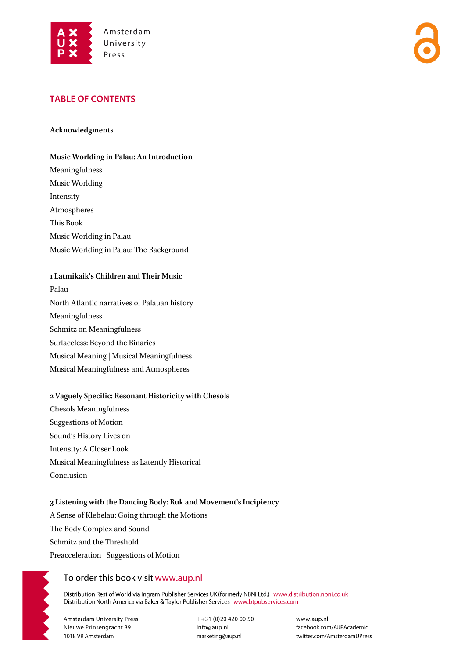

# **TABLE OF CONTENTS**

#### **Acknowledgments**

#### **Music Worlding in Palau: An Introduction**

Meaningfulness Music Worlding Intensity Atmospheres This Book Music Worlding in Palau Music Worlding in Palau: The Background

#### **1 Latmikaik's Children and Their Music**

Palau North Atlantic narratives of Palauan history Meaningfulness Schmitz on Meaningfulness Surfaceless: Beyond the Binaries Musical Meaning | Musical Meaningfulness Musical Meaningfulness and Atmospheres

#### **2 Vaguely Specific: Resonant Historicity with Chesóls**

Chesols Meaningfulness Suggestions of Motion Sound's History Lives on Intensity: A Closer Look Musical Meaningfulness as Latently Historical Conclusion

### **3 Listening with the Dancing Body: Ruk and Movement's Incipiency**

A Sense of Klebelau: Going through the Motions The Body Complex and Sound Schmitz and the Threshold Preacceleration | Suggestions of Motion

# To order this book visit www.aup.nl

Distribution Rest of World via Ingram Publisher Services UK (formerly NBNi Ltd.) | www.distribution.nbni.co.uk Distribution North America via Baker & Taylor Publisher Services | www.btpubservices.com

**Amsterdam University Press** Nieuwe Prinsengracht 89 1018 VR Amsterdam

T+31 (0)20 420 00 50 info@aup.nl marketing@aup.nl

www.aup.nl facebook.com/AUPAcademic twitter.com/AmsterdamUPress